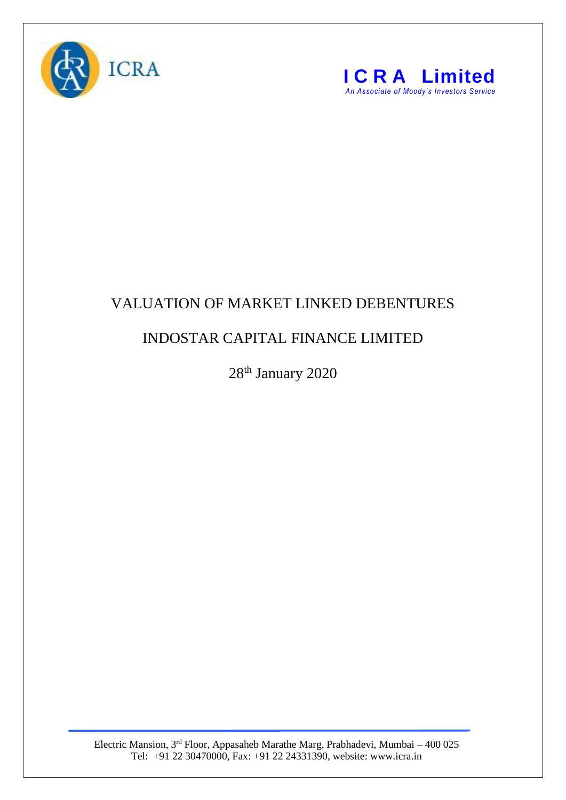



## VALUATION OF MARKET LINKED DEBENTURES

## INDOSTAR CAPITAL FINANCE LIMITED

28<sup>th</sup> January 2020

Electric Mansion, 3<sup>rd</sup> Floor, Appasaheb Marathe Marg, Prabhadevi, Mumbai – 400 025 Tel: +91 22 30470000, Fax: +91 22 24331390, website: www.icra.in